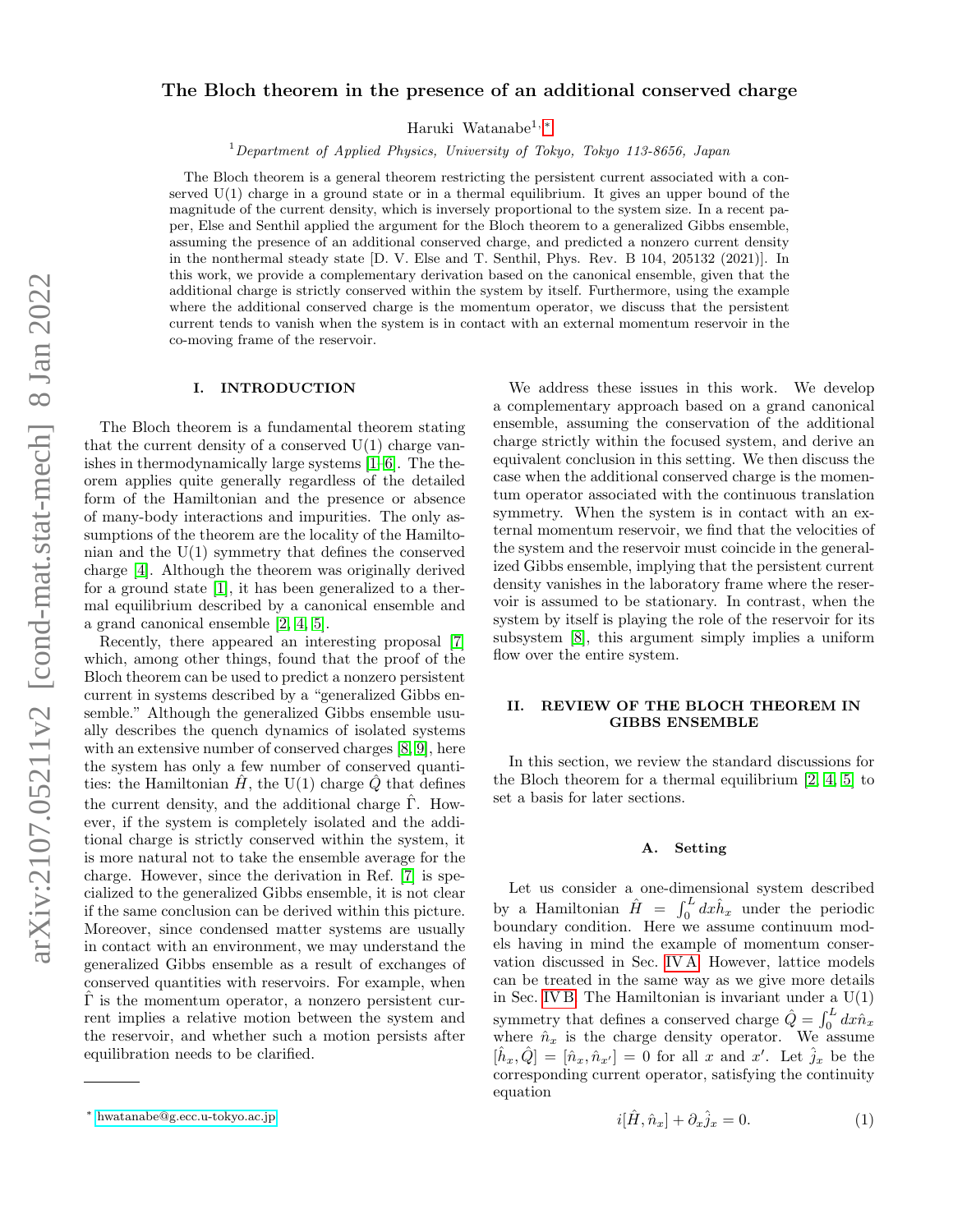# The Bloch theorem in the presence of an additional conserved charge

Haruki Watanabe1, [∗](#page-0-0)

<sup>1</sup>Department of Applied Physics, University of Tokyo, Tokyo 113-8656, Japan

The Bloch theorem is a general theorem restricting the persistent current associated with a conserved  $U(1)$  charge in a ground state or in a thermal equilibrium. It gives an upper bound of the magnitude of the current density, which is inversely proportional to the system size. In a recent paper, Else and Senthil applied the argument for the Bloch theorem to a generalized Gibbs ensemble, assuming the presence of an additional conserved charge, and predicted a nonzero current density in the nonthermal steady state [D. V. Else and T. Senthil, Phys. Rev. B 104, 205132 (2021)]. In this work, we provide a complementary derivation based on the canonical ensemble, given that the additional charge is strictly conserved within the system by itself. Furthermore, using the example where the additional conserved charge is the momentum operator, we discuss that the persistent current tends to vanish when the system is in contact with an external momentum reservoir in the co-moving frame of the reservoir.

### I. INTRODUCTION

The Bloch theorem is a fundamental theorem stating that the current density of a conserved  $U(1)$  charge vanishes in thermodynamically large systems [\[1](#page-6-0)[–6\]](#page-6-1). The theorem applies quite generally regardless of the detailed form of the Hamiltonian and the presence or absence of many-body interactions and impurities. The only assumptions of the theorem are the locality of the Hamiltonian and the U(1) symmetry that defines the conserved charge [\[4\]](#page-6-2). Although the theorem was originally derived for a ground state [\[1\]](#page-6-0), it has been generalized to a thermal equilibrium described by a canonical ensemble and a grand canonical ensemble [\[2,](#page-6-3) [4,](#page-6-2) [5\]](#page-6-4).

Recently, there appeared an interesting proposal [\[7\]](#page-6-5) which, among other things, found that the proof of the Bloch theorem can be used to predict a nonzero persistent current in systems described by a "generalized Gibbs ensemble." Although the generalized Gibbs ensemble usually describes the quench dynamics of isolated systems with an extensive number of conserved charges [\[8,](#page-6-6) [9\]](#page-6-7), here the system has only a few number of conserved quantities: the Hamiltonian  $H$ , the U(1) charge Q that defines the current density, and the additional charge  $\hat{\Gamma}$ . However, if the system is completely isolated and the additional charge is strictly conserved within the system, it is more natural not to take the ensemble average for the charge. However, since the derivation in Ref. [\[7\]](#page-6-5) is specialized to the generalized Gibbs ensemble, it is not clear if the same conclusion can be derived within this picture. Moreover, since condensed matter systems are usually in contact with an environment, we may understand the generalized Gibbs ensemble as a result of exchanges of conserved quantities with reservoirs. For example, when  $\Gamma$  is the momentum operator, a nonzero persistent current implies a relative motion between the system and the reservoir, and whether such a motion persists after equilibration needs to be clarified.

We address these issues in this work. We develop a complementary approach based on a grand canonical ensemble, assuming the conservation of the additional charge strictly within the focused system, and derive an equivalent conclusion in this setting. We then discuss the case when the additional conserved charge is the momentum operator associated with the continuous translation symmetry. When the system is in contact with an external momentum reservoir, we find that the velocities of the system and the reservoir must coincide in the generalized Gibbs ensemble, implying that the persistent current density vanishes in the laboratory frame where the reservoir is assumed to be stationary. In contrast, when the system by itself is playing the role of the reservoir for its subsystem [\[8\]](#page-6-6), this argument simply implies a uniform flow over the entire system.

## <span id="page-0-1"></span>II. REVIEW OF THE BLOCH THEOREM IN GIBBS ENSEMBLE

In this section, we review the standard discussions for the Bloch theorem for a thermal equilibrium [\[2,](#page-6-3) [4,](#page-6-2) [5\]](#page-6-4) to set a basis for later sections.

### A. Setting

Let us consider a one-dimensional system described by a Hamiltonian  $\hat{H} = \int_0^L dx \hat{h}_x$  under the periodic boundary condition. Here we assume continuum models having in mind the example of momentum conservation discussed in Sec. [IV A.](#page-3-0) However, lattice models can be treated in the same way as we give more details in Sec. [IV B.](#page-4-0) The Hamiltonian is invariant under a  $U(1)$ symmetry that defines a conserved charge  $\hat{Q} = \int_0^L dx \hat{n}_x$ where  $\hat{n}_x$  is the charge density operator. We assume  $[\hat{h}_x, \hat{Q}] = [\hat{n}_x, \hat{n}_{x'}] = 0$  for all x and x'. Let  $\hat{j}_x$  be the corresponding current operator, satisfying the continuity equation

$$
i[\hat{H}, \hat{n}_x] + \partial_x \hat{j}_x = 0. \tag{1}
$$

<span id="page-0-0"></span><sup>∗</sup> [hwatanabe@g.ecc.u-tokyo.ac.jp](mailto:hwatanabe@g.ecc.u-tokyo.ac.jp)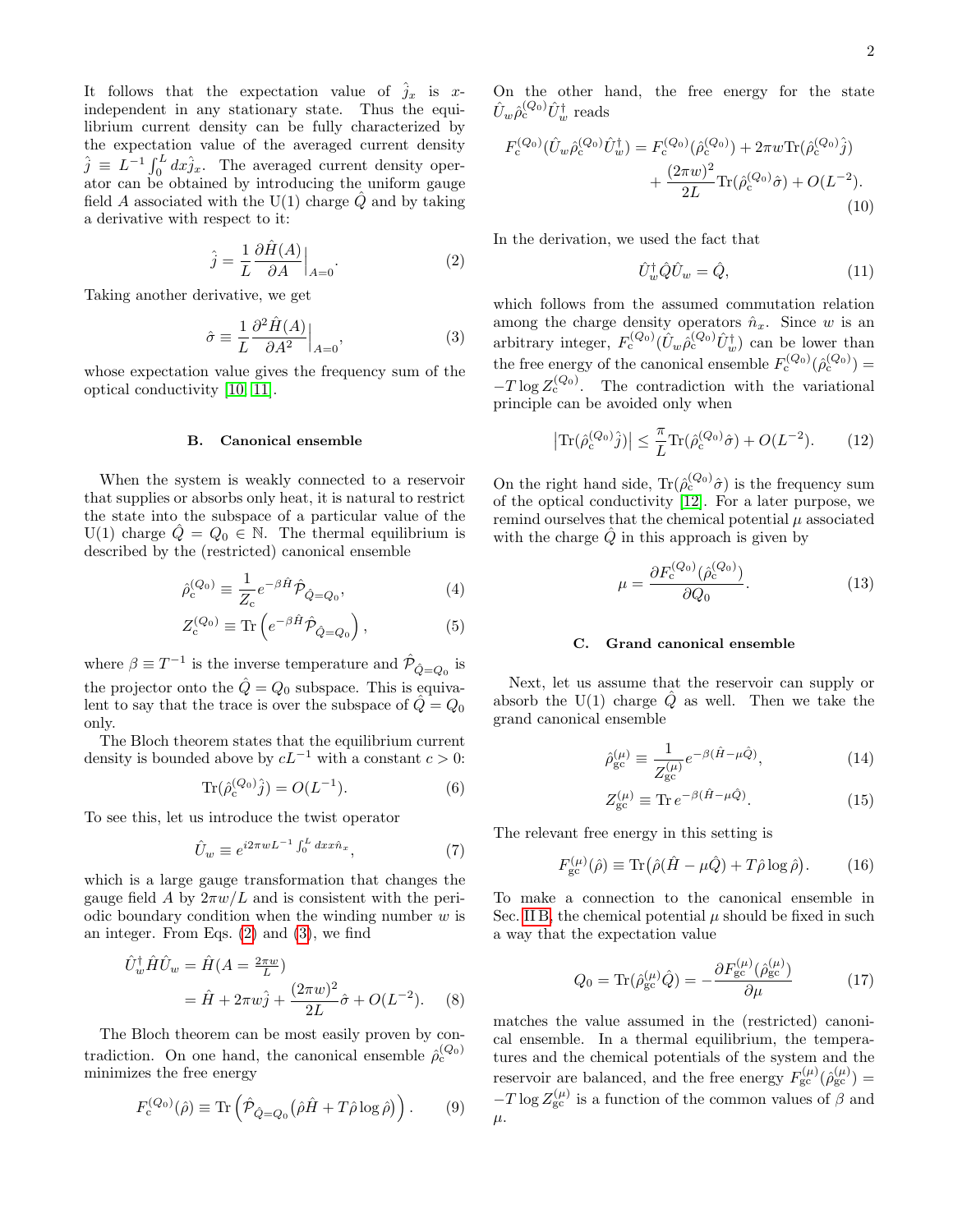It follows that the expectation value of  $\hat{j}_x$  is xindependent in any stationary state. Thus the equilibrium current density can be fully characterized by the expectation value of the averaged current density  $\hat{j} \equiv L^{-1} \int_0^L dx \hat{j}_x$ . The averaged current density operator can be obtained by introducing the uniform gauge field A associated with the  $U(1)$  charge  $\ddot{Q}$  and by taking a derivative with respect to it:

$$
\hat{j} = \frac{1}{L} \frac{\partial \hat{H}(A)}{\partial A} \Big|_{A=0}.
$$
\n(2)

Taking another derivative, we get

$$
\hat{\sigma} \equiv \frac{1}{L} \frac{\partial^2 \hat{H}(A)}{\partial A^2} \Big|_{A=0},\tag{3}
$$

whose expectation value gives the frequency sum of the optical conductivity [\[10,](#page-6-8) [11\]](#page-6-9).

#### <span id="page-1-2"></span>B. Canonical ensemble

When the system is weakly connected to a reservoir that supplies or absorbs only heat, it is natural to restrict the state into the subspace of a particular value of the U(1) charge  $\hat{Q} = Q_0 \in \mathbb{N}$ . The thermal equilibrium is described by the (restricted) canonical ensemble

$$
\hat{\rho}_{c}^{(Q_0)} \equiv \frac{1}{Z_c} e^{-\beta \hat{H}} \hat{\mathcal{P}}_{\hat{Q}=Q_0},\tag{4}
$$

$$
Z_c^{(Q_0)} \equiv \text{Tr}\left(e^{-\beta \hat{H}} \hat{\mathcal{P}}_{\hat{Q}=Q_0}\right),\tag{5}
$$

where  $\beta \equiv T^{-1}$  is the inverse temperature and  $\hat{\mathcal{P}}_{\hat{Q} = Q_0}$  is the projector onto the  $\hat{Q}=Q_0$  subspace. This is equivalent to say that the trace is over the subspace of  $\ddot{Q}=Q_0$ only.

The Bloch theorem states that the equilibrium current density is bounded above by  $cL^{-1}$  with a constant  $c > 0$ :

$$
\text{Tr}(\hat{\rho}_{c}^{(Q_0)}\hat{j}) = O(L^{-1}).\tag{6}
$$

To see this, let us introduce the twist operator

$$
\hat{U}_w \equiv e^{i2\pi wL^{-1} \int_0^L dx x \hat{n}_x},\tag{7}
$$

which is a large gauge transformation that changes the gauge field A by  $2\pi w/L$  and is consistent with the periodic boundary condition when the winding number  $w$  is an integer. From Eqs. [\(2\)](#page-1-0) and [\(3\)](#page-1-1), we find

$$
\hat{U}_{w}^{\dagger} \hat{H} \hat{U}_{w} = \hat{H} (A = \frac{2\pi w}{L}) \n= \hat{H} + 2\pi w \hat{j} + \frac{(2\pi w)^{2}}{2L} \hat{\sigma} + O(L^{-2}).
$$
\n(8)

The Bloch theorem can be most easily proven by contradiction. On one hand, the canonical ensemble  $\hat{\rho}_{c}^{(Q_0)}$ minimizes the free energy

$$
F_c^{(Q_0)}(\hat{\rho}) \equiv \text{Tr}\left(\hat{\mathcal{P}}_{\hat{Q}=Q_0}(\hat{\rho}\hat{H} + T\hat{\rho}\log\hat{\rho})\right). \qquad (9)
$$

On the other hand, the free energy for the state  $\hat{U}_w\hat{\rho}_{\rm c}^{(Q_0)}\hat{U}_w^{\dagger}$  reads

$$
F_c^{(Q_0)}(\hat{U}_w \hat{\rho}_c^{(Q_0)} \hat{U}_w^{\dagger}) = F_c^{(Q_0)}(\hat{\rho}_c^{(Q_0)}) + 2\pi w \text{Tr}(\hat{\rho}_c^{(Q_0)} \hat{j}) + \frac{(2\pi w)^2}{2L} \text{Tr}(\hat{\rho}_c^{(Q_0)} \hat{\sigma}) + O(L^{-2}).
$$
\n(10)

<span id="page-1-0"></span>In the derivation, we used the fact that

<span id="page-1-6"></span>
$$
\hat{U}_w^{\dagger} \hat{Q} \hat{U}_w = \hat{Q},\tag{11}
$$

<span id="page-1-1"></span>which follows from the assumed commutation relation among the charge density operators  $\hat{n}_x$ . Since w is an arbitrary integer,  $F_c^{(Q_0)}(\hat{U}_w \hat{\rho}_c^{(Q_0)} \hat{U}_w^{\dagger})$  can be lower than the free energy of the canonical ensemble  $F_c^{(Q_0)}(\hat{\rho}_c^{(Q_0)}) =$  $-T \log Z_c^{(Q_0)}$ . The contradiction with the variational principle can be avoided only when

<span id="page-1-4"></span>
$$
\left| \text{Tr}(\hat{\rho}_{\mathbf{c}}^{(Q_0)}\hat{j}) \right| \leq \frac{\pi}{L} \text{Tr}(\hat{\rho}_{\mathbf{c}}^{(Q_0)}\hat{\sigma}) + O(L^{-2}). \tag{12}
$$

On the right hand side,  $\text{Tr}(\hat{\rho}_{c}^{(Q_0)}\hat{\sigma})$  is the frequency sum of the optical conductivity [\[12\]](#page-6-10). For a later purpose, we remind ourselves that the chemical potential  $\mu$  associated with the charge  $\ddot{Q}$  in this approach is given by

<span id="page-1-7"></span>
$$
\mu = \frac{\partial F_c^{(Q_0)}(\hat{\rho}_c^{(Q_0)})}{\partial Q_0}.\tag{13}
$$

### <span id="page-1-5"></span>C. Grand canonical ensemble

Next, let us assume that the reservoir can supply or absorb the U(1) charge  $\hat{Q}$  as well. Then we take the grand canonical ensemble

$$
\hat{\rho}_{\rm gc}^{(\mu)} \equiv \frac{1}{Z_{\rm gc}^{(\mu)}} e^{-\beta(\hat{H} - \mu \hat{Q})},\tag{14}
$$

<span id="page-1-3"></span>
$$
Z_{\rm gc}^{(\mu)} \equiv \text{Tr} \, e^{-\beta (\hat{H} - \mu \hat{Q})}.
$$
 (15)

The relevant free energy in this setting is

$$
F_{\rm gc}^{(\mu)}(\hat{\rho}) \equiv \text{Tr}(\hat{\rho}(\hat{H} - \mu \hat{Q}) + T\hat{\rho}\log\hat{\rho}). \tag{16}
$$

To make a connection to the canonical ensemble in Sec. [II B,](#page-1-2) the chemical potential  $\mu$  should be fixed in such a way that the expectation value

$$
Q_0 = \text{Tr}(\hat{\rho}_{\text{gc}}^{(\mu)}\hat{Q}) = -\frac{\partial F_{\text{gc}}^{(\mu)}(\hat{\rho}_{\text{gc}}^{(\mu)})}{\partial \mu} \tag{17}
$$

<span id="page-1-8"></span>matches the value assumed in the (restricted) canonical ensemble. In a thermal equilibrium, the temperatures and the chemical potentials of the system and the reservoir are balanced, and the free energy  $F_{\rm gc}^{(\mu)}(\hat{\rho}_{\rm gc}^{(\mu)})=$  $-T \log Z_{\rm gc}^{(\mu)}$  is a function of the common values of  $\beta$  and  $\mu$ .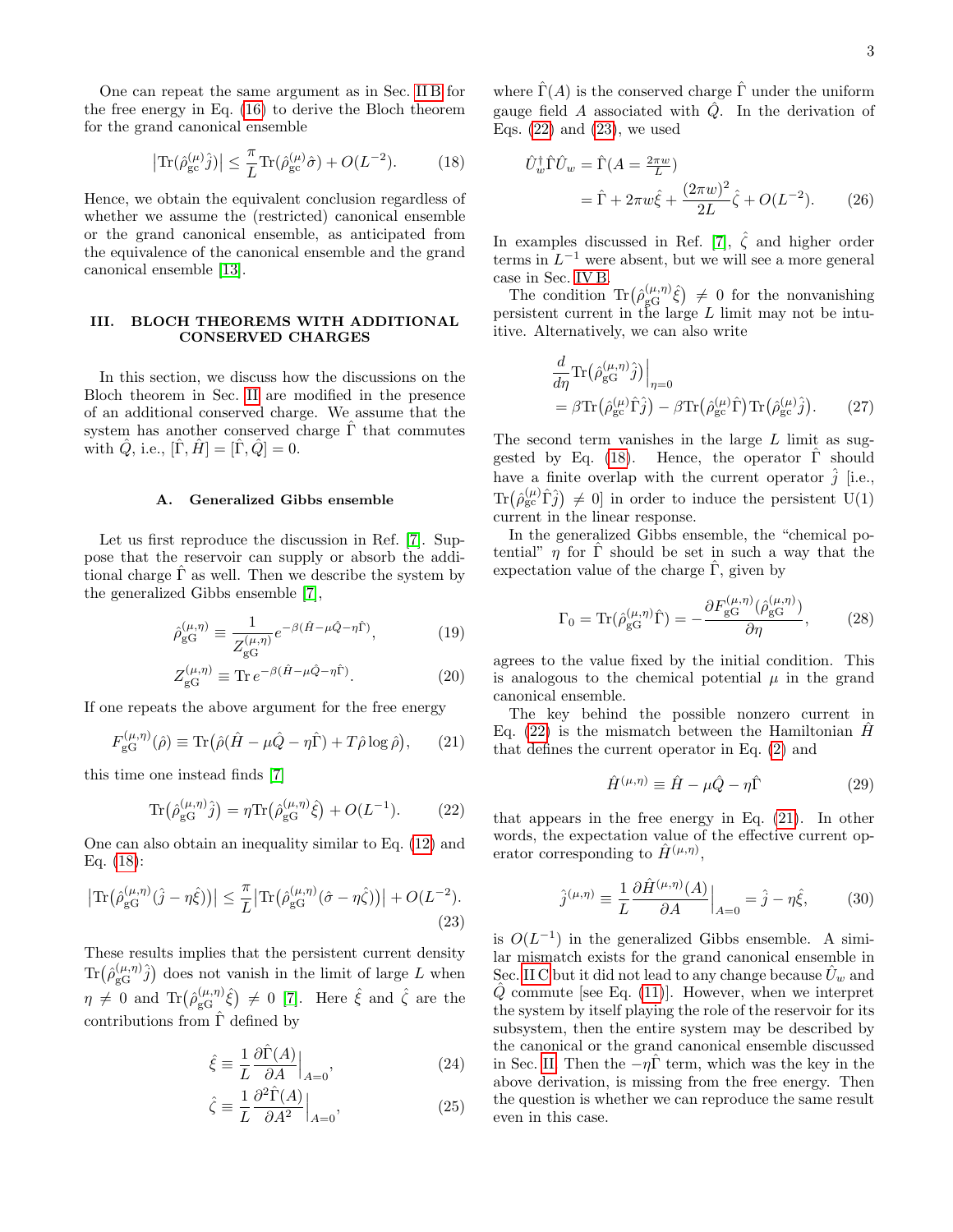One can repeat the same argument as in Sec. [II B](#page-1-2) for the free energy in Eq. [\(16\)](#page-1-3) to derive the Bloch theorem for the grand canonical ensemble

<span id="page-2-0"></span>
$$
\left| \text{Tr}(\hat{\rho}_{\text{gc}}^{(\mu)} \hat{j}) \right| \le \frac{\pi}{L} \text{Tr}(\hat{\rho}_{\text{gc}}^{(\mu)} \hat{\sigma}) + O(L^{-2}). \tag{18}
$$

Hence, we obtain the equivalent conclusion regardless of whether we assume the (restricted) canonical ensemble or the grand canonical ensemble, as anticipated from the equivalence of the canonical ensemble and the grand canonical ensemble [\[13\]](#page-6-11).

## III. BLOCH THEOREMS WITH ADDITIONAL CONSERVED CHARGES

In this section, we discuss how the discussions on the Bloch theorem in Sec. [II](#page-0-1) are modified in the presence of an additional conserved charge. We assume that the system has another conserved charge  $\Gamma$  that commutes with  $\hat{Q}$ , i.e.,  $[\Gamma, H] = [\Gamma, \hat{Q}] = 0$ .

### <span id="page-2-5"></span>A. Generalized Gibbs ensemble

Let us first reproduce the discussion in Ref. [\[7\]](#page-6-5). Suppose that the reservoir can supply or absorb the additional charge  $\hat{\Gamma}$  as well. Then we describe the system by the generalized Gibbs ensemble [\[7\]](#page-6-5),

$$
\hat{\rho}_{\rm gG}^{(\mu,\eta)} \equiv \frac{1}{Z_{\rm gG}^{(\mu,\eta)}} e^{-\beta(\hat{H} - \mu \hat{Q} - \eta \hat{\Gamma})},\tag{19}
$$

$$
Z_{\rm gG}^{(\mu,\eta)} \equiv \text{Tr} \, e^{-\beta(\hat{H} - \mu \hat{Q} - \eta \hat{\Gamma})}.
$$
 (20)

If one repeats the above argument for the free energy

$$
F_{\rm gG}^{(\mu,\eta)}(\hat{\rho}) \equiv \text{Tr}\big(\hat{\rho}(\hat{H} - \mu\hat{Q} - \eta\hat{\Gamma}) + T\hat{\rho}\log\hat{\rho}\big),\qquad(21)
$$

this time one instead finds [\[7\]](#page-6-5)

$$
\text{Tr}\left(\hat{\rho}_{\text{gG}}^{(\mu,\eta)}\hat{j}\right) = \eta \text{Tr}\left(\hat{\rho}_{\text{gG}}^{(\mu,\eta)}\hat{\xi}\right) + O(L^{-1}).\tag{22}
$$

One can also obtain an inequality similar to Eq. [\(12\)](#page-1-4) and Eq. [\(18\)](#page-2-0):

$$
\left| \text{Tr} \left( \hat{\rho}_{\text{gG}}^{(\mu,\eta)} (\hat{j} - \eta \hat{\xi}) \right) \right| \leq \frac{\pi}{L} \left| \text{Tr} \left( \hat{\rho}_{\text{gG}}^{(\mu,\eta)} (\hat{\sigma} - \eta \hat{\zeta}) \right) \right| + O(L^{-2}).
$$
\n(23)

These results implies that the persistent current density  $\text{Tr}(\hat{\rho}^{(\mu,\eta)}_{\rm \scriptscriptstyle wG})$  $(\mu,\eta)$   $\hat{j}$  does not vanish in the limit of large L when  $\eta \neq 0$  and  $\text{Tr}(\hat{\rho}_{\text{gG}}^{(\mu,\eta)})$  $\binom{(\mu,\eta)}{\gcd} \neq 0$  [\[7\]](#page-6-5). Here  $\hat{\xi}$  and  $\hat{\zeta}$  are the contributions from  $\hat{\Gamma}$  defined by

$$
\hat{\xi} \equiv \frac{1}{L} \frac{\partial \hat{\Gamma}(A)}{\partial A} \Big|_{A=0},\tag{24}
$$

$$
\hat{\zeta} \equiv \frac{1}{L} \frac{\partial^2 \hat{\Gamma}(A)}{\partial A^2} \Big|_{A=0},\tag{25}
$$

where  $\hat{\Gamma}(A)$  is the conserved charge  $\hat{\Gamma}$  under the uniform gauge field A associated with  $\hat{Q}$ . In the derivation of Eqs.  $(22)$  and  $(23)$ , we used

<span id="page-2-4"></span>
$$
\hat{U}_w^{\dagger} \hat{\Gamma} \hat{U}_w = \hat{\Gamma} (A = \frac{2\pi w}{L}) \n= \hat{\Gamma} + 2\pi w \hat{\xi} + \frac{(2\pi w)^2}{2L} \hat{\zeta} + O(L^{-2}).
$$
\n(26)

In examples discussed in Ref. [\[7\]](#page-6-5),  $\hat{\zeta}$  and higher order terms in  $L^{-1}$  were absent, but we will see a more general case in Sec. [IV B.](#page-4-0)

The condition  $\text{Tr}(\hat{\rho}_{\text{gG}}^{(\mu,\eta)})$  $\binom{(\mu,\eta)}{\gcd} \neq 0$  for the nonvanishing persistent current in the large L limit may not be intuitive. Alternatively, we can also write

<span id="page-2-6"></span>
$$
\frac{d}{d\eta} \text{Tr} \left( \hat{\rho}_{\text{gG}}^{(\mu,\eta)} \hat{j} \right) \Big|_{\eta=0} \n= \beta \text{Tr} \left( \hat{\rho}_{\text{gc}}^{(\mu)} \hat{\Gamma} \hat{j} \right) - \beta \text{Tr} \left( \hat{\rho}_{\text{gc}}^{(\mu)} \hat{\Gamma} \right) \text{Tr} \left( \hat{\rho}_{\text{gc}}^{(\mu)} \hat{j} \right).
$$
\n(27)

The second term vanishes in the large  $L$  limit as sug-gested by Eq. [\(18\)](#page-2-0). Hence, the operator  $\Gamma$  should have a finite overlap with the current operator  $\hat{j}$  [i.e.,  $\text{Tr}\left(\hat{\rho}_{\rm gc}^{(\mu)}\hat{\Gamma}\hat{j}\right) \neq 0$  in order to induce the persistent U(1) current in the linear response.

In the generalized Gibbs ensemble, the "chemical potential"  $\eta$  for  $\Gamma$  should be set in such a way that the expectation value of the charge  $\Gamma$ , given by

$$
\Gamma_0 = \text{Tr}(\hat{\rho}_{\text{gG}}^{(\mu,\eta)}\hat{\Gamma}) = -\frac{\partial F_{\text{gG}}^{(\mu,\eta)}(\hat{\rho}_{\text{gG}}^{(\mu,\eta)})}{\partial \eta},\tag{28}
$$

agrees to the value fixed by the initial condition. This is analogous to the chemical potential  $\mu$  in the grand canonical ensemble.

<span id="page-2-3"></span>The key behind the possible nonzero current in Eq. [\(22\)](#page-2-1) is the mismatch between the Hamiltonian  $\hat{H}$ that defines the current operator in Eq. [\(2\)](#page-1-0) and

$$
\hat{H}^{(\mu,\eta)} \equiv \hat{H} - \mu \hat{Q} - \eta \hat{\Gamma}
$$
 (29)

<span id="page-2-1"></span>that appears in the free energy in Eq. [\(21\)](#page-2-3). In other words, the expectation value of the effective current operator corresponding to  $\hat{H}^{(\mu,\eta)}$ ,

$$
\hat{j}^{(\mu,\eta)} \equiv \frac{1}{L} \frac{\partial \hat{H}^{(\mu,\eta)}(A)}{\partial A} \Big|_{A=0} = \hat{j} - \eta \hat{\xi},\tag{30}
$$

<span id="page-2-2"></span>is  $O(L^{-1})$  in the generalized Gibbs ensemble. A similar mismatch exists for the grand canonical ensemble in Sec. [II C](#page-1-5) but it did not lead to any change because  $\hat{U}_w$  and  $\hat{Q}$  commute [see Eq. [\(11\)](#page-1-6)]. However, when we interpret the system by itself playing the role of the reservoir for its subsystem, then the entire system may be described by the canonical or the grand canonical ensemble discussed in Sec. [II.](#page-0-1) Then the  $-\eta \hat{\Gamma}$  term, which was the key in the above derivation, is missing from the free energy. Then the question is whether we can reproduce the same result even in this case.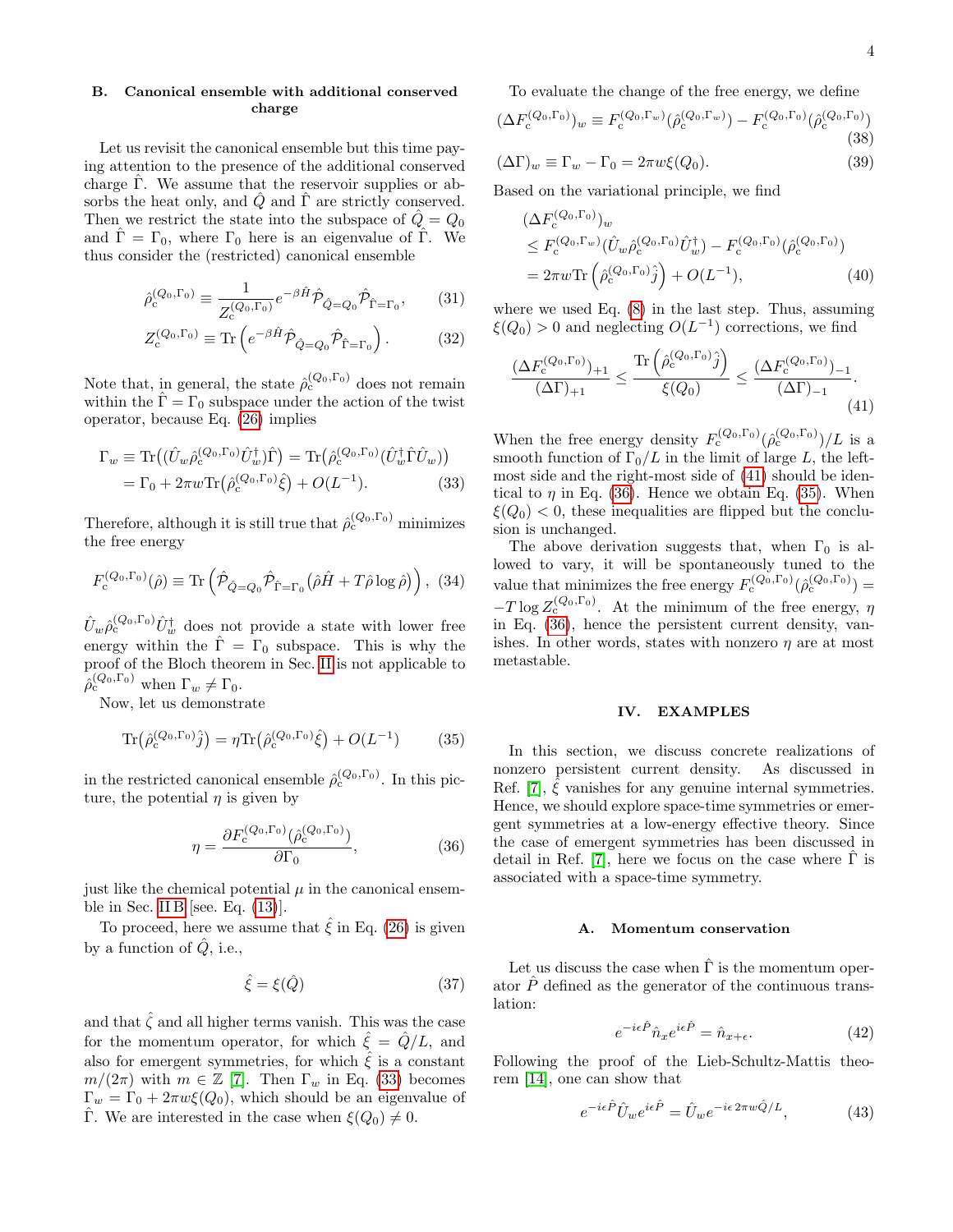## <span id="page-3-5"></span>B. Canonical ensemble with additional conserved charge

Let us revisit the canonical ensemble but this time paying attention to the presence of the additional conserved charge  $\Gamma$ . We assume that the reservoir supplies or absorbs the heat only, and  $\hat{Q}$  and  $\hat{\Gamma}$  are strictly conserved. Then we restrict the state into the subspace of  $\tilde{Q} = Q_0$ and  $\hat{\Gamma} = \Gamma_0$ , where  $\Gamma_0$  here is an eigenvalue of  $\hat{\Gamma}$ . We thus consider the (restricted) canonical ensemble

$$
\hat{\rho}_{\rm c}^{(Q_0,\Gamma_0)} \equiv \frac{1}{Z_{\rm c}^{(Q_0,\Gamma_0)}} e^{-\beta \hat{H}} \hat{\mathcal{P}}_{\hat{Q}=Q_0} \hat{\mathcal{P}}_{\hat{\Gamma}=\Gamma_0},\qquad(31)
$$

$$
Z_{\rm c}^{(Q_0,\Gamma_0)} \equiv \text{Tr}\left(e^{-\beta \hat{H}} \hat{\mathcal{P}}_{\hat{Q}=Q_0} \hat{\mathcal{P}}_{\hat{\Gamma}=\Gamma_0}\right). \tag{32}
$$

Note that, in general, the state  $\hat{\rho}_c^{(Q_0,\Gamma_0)}$  does not remain within the  $\hat{\Gamma} = \Gamma_0$  subspace under the action of the twist operator, because Eq. [\(26\)](#page-2-4) implies

$$
\Gamma_w \equiv \text{Tr}\left((\hat{U}_w \hat{\rho}_c^{(Q_0, \Gamma_0)} \hat{U}_w^{\dagger})\hat{\Gamma}\right) = \text{Tr}\left(\hat{\rho}_c^{(Q_0, \Gamma_0)} (\hat{U}_w^{\dagger} \hat{\Gamma} \hat{U}_w)\right)
$$

$$
= \Gamma_0 + 2\pi w \text{Tr}\left(\hat{\rho}_c^{(Q_0, \Gamma_0)} \hat{\xi}\right) + O(L^{-1}). \tag{33}
$$

Therefore, although it is still true that  $\hat{\rho}_c^{(Q_0,\Gamma_0)}$  minimizes the free energy

$$
F_c^{(Q_0,\Gamma_0)}(\hat{\rho}) \equiv \text{Tr}\left(\hat{\mathcal{P}}_{\hat{Q}=Q_0}\hat{\mathcal{P}}_{\hat{\Gamma}=\Gamma_0}\left(\hat{\rho}\hat{H} + T\hat{\rho}\log\hat{\rho}\right)\right), (34)
$$

 $\hat{U}_w \hat{\rho}_{c}^{(Q_0,\Gamma_0)} \hat{U}_w^{\dagger}$  does not provide a state with lower free energy within the  $\hat{\Gamma} = \Gamma_0$  subspace. This is why the proof of the Bloch theorem in Sec. [II](#page-0-1) is not applicable to  $\hat{\rho}_{\rm c}^{(Q_0,\Gamma_0)}$  when  $\Gamma_w \neq \Gamma_0$ .

Now, let us demonstrate

$$
\text{Tr}(\hat{\rho}_{c}^{(Q_0,\Gamma_0)}\hat{j}) = \eta \text{Tr}(\hat{\rho}_{c}^{(Q_0,\Gamma_0)}\hat{\xi}) + O(L^{-1}) \tag{35}
$$

in the restricted canonical ensemble  $\hat{\rho}_c^{(Q_0,\Gamma_0)}$ . In this picture, the potential  $\eta$  is given by

$$
\eta = \frac{\partial F_c^{(Q_0, \Gamma_0)}(\hat{\rho}_c^{(Q_0, \Gamma_0)})}{\partial \Gamma_0},\tag{36}
$$

just like the chemical potential  $\mu$  in the canonical ensem-ble in Sec. [II B](#page-1-2) [see. Eq.  $(13)$ ].

To proceed, here we assume that  $\xi$  in Eq. [\(26\)](#page-2-4) is given by a function of  $\hat{Q}$ , i.e.,

$$
\hat{\xi} = \xi(\hat{Q})\tag{37}
$$

and that  $\hat{\zeta}$  and all higher terms vanish. This was the case for the momentum operator, for which  $\hat{\xi} = \hat{Q}/L$ , and also for emergent symmetries, for which  $\hat{\xi}$  is a constant  $m/(2\pi)$  with  $m \in \mathbb{Z}$  [\[7\]](#page-6-5). Then  $\Gamma_w$  in Eq. [\(33\)](#page-3-1) becomes  $\Gamma_w = \Gamma_0 + 2\pi w \xi(Q_0)$ , which should be an eigenvalue of Γ. We are interested in the case when  $\xi(Q_0) \neq 0$ .

To evaluate the change of the free energy, we define

$$
(\Delta F_c^{(Q_0,\Gamma_0)})_w \equiv F_c^{(Q_0,\Gamma_w)}(\hat{\rho}_c^{(Q_0,\Gamma_w)}) - F_c^{(Q_0,\Gamma_0)}(\hat{\rho}_c^{(Q_0,\Gamma_0)})
$$
(38)

$$
(\Delta \Gamma)_w \equiv \Gamma_w - \Gamma_0 = 2\pi w \xi(Q_0).
$$
\n(39)

Based on the variational principle, we find

$$
\begin{split} & (\Delta F_{\mathbf{c}}^{(Q_0,\Gamma_0)})_w \\ &\leq F_{\mathbf{c}}^{(Q_0,\Gamma_w)} (\hat{U}_w \hat{\rho}_{\mathbf{c}}^{(Q_0,\Gamma_0)} \hat{U}_w^{\dagger}) - F_{\mathbf{c}}^{(Q_0,\Gamma_0)} (\hat{\rho}_{\mathbf{c}}^{(Q_0,\Gamma_0)}) \\ &= 2\pi w \text{Tr} \left( \hat{\rho}_{\mathbf{c}}^{(Q_0,\Gamma_0)} \hat{j} \right) + O(L^{-1}), \end{split} \tag{40}
$$

where we used Eq. [\(8\)](#page-1-8) in the last step. Thus, assuming  $\xi(Q_0) > 0$  and neglecting  $O(L^{-1})$  corrections, we find

<span id="page-3-2"></span>
$$
\frac{(\Delta F_{\text{c}}^{(Q_0,\Gamma_0)})_{+1}}{(\Delta\Gamma)_{+1}} \le \frac{\text{Tr}\left(\hat{\rho}_{\text{c}}^{(Q_0,\Gamma_0)}\hat{j}\right)}{\xi(Q_0)} \le \frac{(\Delta F_{\text{c}}^{(Q_0,\Gamma_0)})_{-1}}{(\Delta\Gamma)_{-1}}.
$$
\n(41)

<span id="page-3-1"></span>When the free energy density  $F_c^{(Q_0,\Gamma_0)}(\hat{\rho}_c^{(Q_0,\Gamma_0)})/L$  is a smooth function of  $\Gamma_0/L$  in the limit of large L, the leftmost side and the right-most side of [\(41\)](#page-3-2) should be identical to  $\eta$  in Eq. [\(36\)](#page-3-3). Hence we obtain Eq. [\(35\)](#page-3-4). When  $\xi(Q_0)$  < 0, these inequalities are flipped but the conclusion is unchanged.

The above derivation suggests that, when  $\Gamma_0$  is allowed to vary, it will be spontaneously tuned to the value that minimizes the free energy  $F_c^{(Q_0,\Gamma_0)}(\hat{\rho}_c^{(Q_0,\Gamma_0)})=$  $-T \log Z_{\text{c}}^{(Q_0,\Gamma_0)}$ . At the minimum of the free energy,  $\eta$ in Eq. [\(36\)](#page-3-3), hence the persistent current density, vanishes. In other words, states with nonzero  $\eta$  are at most metastable.

## IV. EXAMPLES

<span id="page-3-4"></span><span id="page-3-3"></span>In this section, we discuss concrete realizations of nonzero persistent current density. As discussed in Ref. [\[7\]](#page-6-5),  $\xi$  vanishes for any genuine internal symmetries. Hence, we should explore space-time symmetries or emergent symmetries at a low-energy effective theory. Since the case of emergent symmetries has been discussed in detail in Ref. [\[7\]](#page-6-5), here we focus on the case where  $\hat{\Gamma}$  is associated with a space-time symmetry.

### <span id="page-3-0"></span>A. Momentum conservation

Let us discuss the case when  $\hat{\Gamma}$  is the momentum operator  $\hat{P}$  defined as the generator of the continuous translation:

$$
e^{-i\epsilon \hat{P}} \hat{n}_x e^{i\epsilon \hat{P}} = \hat{n}_{x+\epsilon}.
$$
 (42)

Following the proof of the Lieb-Schultz-Mattis theorem [\[14\]](#page-6-12), one can show that

$$
e^{-i\epsilon \hat{P}} \hat{U}_w e^{i\epsilon \hat{P}} = \hat{U}_w e^{-i\epsilon 2\pi w \hat{Q}/L}, \qquad (43)
$$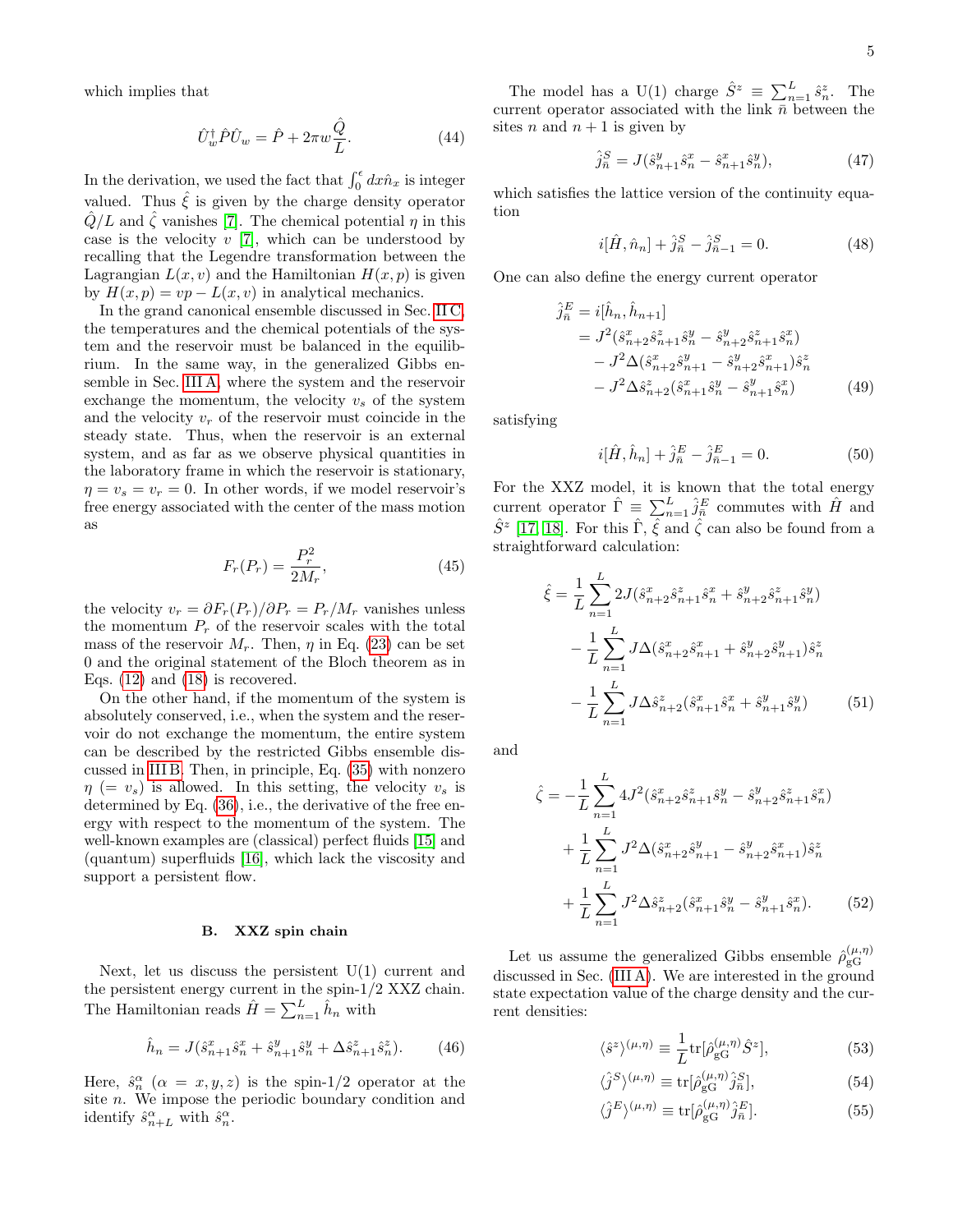which implies that

$$
\hat{U}_w^{\dagger} \hat{P} \hat{U}_w = \hat{P} + 2\pi w \frac{\hat{Q}}{L}.
$$
\n(44)

In the derivation, we used the fact that  $\int_0^{\epsilon} dx \hat{n}_x$  is integer valued. Thus  $\xi$  is given by the charge density operator  $\hat{Q}/L$  and  $\hat{\zeta}$  vanishes [\[7\]](#page-6-5). The chemical potential  $\eta$  in this case is the velocity  $v$  [\[7\]](#page-6-5), which can be understood by recalling that the Legendre transformation between the Lagrangian  $L(x, v)$  and the Hamiltonian  $H(x, p)$  is given by  $H(x, p) = vp - L(x, v)$  in analytical mechanics.

In the grand canonical ensemble discussed in Sec. [II C,](#page-1-5) the temperatures and the chemical potentials of the system and the reservoir must be balanced in the equilibrium. In the same way, in the generalized Gibbs ensemble in Sec. [III A,](#page-2-5) where the system and the reservoir exchange the momentum, the velocity  $v_s$  of the system and the velocity  $v_r$  of the reservoir must coincide in the steady state. Thus, when the reservoir is an external system, and as far as we observe physical quantities in the laboratory frame in which the reservoir is stationary,  $\eta = v_s = v_r = 0$ . In other words, if we model reservoir's free energy associated with the center of the mass motion as

$$
F_r(P_r) = \frac{P_r^2}{2M_r},\tag{45}
$$

the velocity  $v_r = \partial F_r(P_r)/\partial P_r = P_r/M_r$  vanishes unless the momentum  $P_r$  of the reservoir scales with the total mass of the reservoir  $M_r$ . Then,  $\eta$  in Eq. [\(23\)](#page-2-2) can be set 0 and the original statement of the Bloch theorem as in Eqs.  $(12)$  and  $(18)$  is recovered.

On the other hand, if the momentum of the system is absolutely conserved, i.e., when the system and the reservoir do not exchange the momentum, the entire system can be described by the restricted Gibbs ensemble discussed in [III B.](#page-3-5) Then, in principle, Eq. [\(35\)](#page-3-4) with nonzero  $\eta$  (=  $v_s$ ) is allowed. In this setting, the velocity  $v_s$  is determined by Eq. [\(36\)](#page-3-3), i.e., the derivative of the free energy with respect to the momentum of the system. The well-known examples are (classical) perfect fluids [\[15\]](#page-6-13) and (quantum) superfluids [\[16\]](#page-6-14), which lack the viscosity and support a persistent flow.

### <span id="page-4-0"></span>B. XXZ spin chain

Next, let us discuss the persistent  $U(1)$  current and the persistent energy current in the spin-1/2 XXZ chain. The Hamiltonian reads  $\hat{H} = \sum_{n=1}^{L} \hat{h}_n$  with

$$
\hat{h}_n = J(\hat{s}_{n+1}^x \hat{s}_n^x + \hat{s}_{n+1}^y \hat{s}_n^y + \Delta \hat{s}_{n+1}^z \hat{s}_n^z). \tag{46}
$$

Here,  $\hat{s}_n^{\alpha}$  ( $\alpha = x, y, z$ ) is the spin-1/2 operator at the site n. We impose the periodic boundary condition and identify  $\hat{s}_{n+L}^{\alpha}$  with  $\hat{s}_{n}^{\alpha}$ .

The model has a U(1) charge  $\hat{S}^z \equiv \sum_{n=1}^L \hat{s}_n^z$ . The current operator associated with the link  $\overline{n}$  between the sites n and  $n + 1$  is given by

$$
\hat{j}_n^S = J(\hat{s}_{n+1}^y \hat{s}_n^x - \hat{s}_{n+1}^x \hat{s}_n^y),\tag{47}
$$

which satisfies the lattice version of the continuity equation

$$
i[\hat{H}, \hat{n}_n] + \hat{j}_n^S - \hat{j}_{n-1}^S = 0.
$$
 (48)

One can also define the energy current operator

$$
\hat{j}_{\bar{n}}^{E} = i[\hat{h}_{n}, \hat{h}_{n+1}] \n= J^{2}(\hat{s}_{n+2}^{x}\hat{s}_{n+1}^{z}\hat{s}_{n}^{y} - \hat{s}_{n+2}^{y}\hat{s}_{n+1}^{z}\hat{s}_{n}^{x}) \n- J^{2}\Delta(\hat{s}_{n+2}^{x}\hat{s}_{n+1}^{y} - \hat{s}_{n+2}^{y}\hat{s}_{n+1}^{x})\hat{s}_{n}^{z} \n- J^{2}\Delta\hat{s}_{n+2}^{z}(\hat{s}_{n+1}^{x}\hat{s}_{n}^{y} - \hat{s}_{n+1}^{y}\hat{s}_{n}^{x})
$$
\n(49)

satisfying

$$
i[\hat{H}, \hat{h}_n] + \hat{j}_n^E - \hat{j}_{n-1}^E = 0.
$$
 (50)

For the XXZ model, it is known that the total energy current operator  $\hat{\Gamma} \equiv \sum_{n=1}^{L} \hat{j}_{\bar{n}}^{E}$  commutes with  $\hat{H}$  and  $\hat{S}^z$  [\[17,](#page-6-15) [18\]](#page-7-0). For this  $\hat{\Gamma}$ ,  $\hat{\xi}$  and  $\hat{\zeta}$  can also be found from a straightforward calculation:

$$
\hat{\xi} = \frac{1}{L} \sum_{n=1}^{L} 2J(\hat{s}_{n+2}^x \hat{s}_{n+1}^z \hat{s}_n^x + \hat{s}_{n+2}^y \hat{s}_{n+1}^z \hat{s}_n^y)
$$

$$
- \frac{1}{L} \sum_{n=1}^{L} J\Delta(\hat{s}_{n+2}^x \hat{s}_{n+1}^x + \hat{s}_{n+2}^y \hat{s}_{n+1}^y) \hat{s}_n^z
$$

$$
- \frac{1}{L} \sum_{n=1}^{L} J\Delta \hat{s}_{n+2}^z (\hat{s}_{n+1}^x \hat{s}_n^x + \hat{s}_{n+1}^y \hat{s}_n^y) \tag{51}
$$

and

$$
\hat{\zeta} = -\frac{1}{L} \sum_{n=1}^{L} 4J^2 (\hat{s}_{n+2}^x \hat{s}_{n+1}^z \hat{s}_n^y - \hat{s}_{n+2}^y \hat{s}_{n+1}^z \hat{s}_n^x) \n+ \frac{1}{L} \sum_{n=1}^{L} J^2 \Delta (\hat{s}_{n+2}^x \hat{s}_{n+1}^y - \hat{s}_{n+2}^y \hat{s}_{n+1}^x) \hat{s}_n^z \n+ \frac{1}{L} \sum_{n=1}^{L} J^2 \Delta \hat{s}_{n+2}^z (\hat{s}_{n+1}^x \hat{s}_n^y - \hat{s}_{n+1}^y \hat{s}_n^x).
$$
\n(52)

Let us assume the generalized Gibbs ensemble  $\hat{\rho}_{\sigma G}^{(\mu,\eta)}$ gG discussed in Sec. [\(III A\)](#page-2-5). We are interested in the ground state expectation value of the charge density and the current densities:

$$
\langle \hat{s}^z \rangle^{(\mu,\eta)} \equiv \frac{1}{L} \text{tr}[\hat{\rho}_{\text{gG}}^{(\mu,\eta)} \hat{S}^z],\tag{53}
$$

$$
\langle \hat{j}^{S} \rangle^{(\mu,\eta)} \equiv \text{tr}[\hat{\rho}_{\text{gG}}^{(\mu,\eta)} \hat{j}_{\bar{n}}^{S}], \tag{54}
$$

$$
\langle \hat{j}^E \rangle^{(\mu,\eta)} \equiv \text{tr}[\hat{\rho}_{\rm gG}^{(\mu,\eta)} \hat{j}_{\bar{n}}^E]. \tag{55}
$$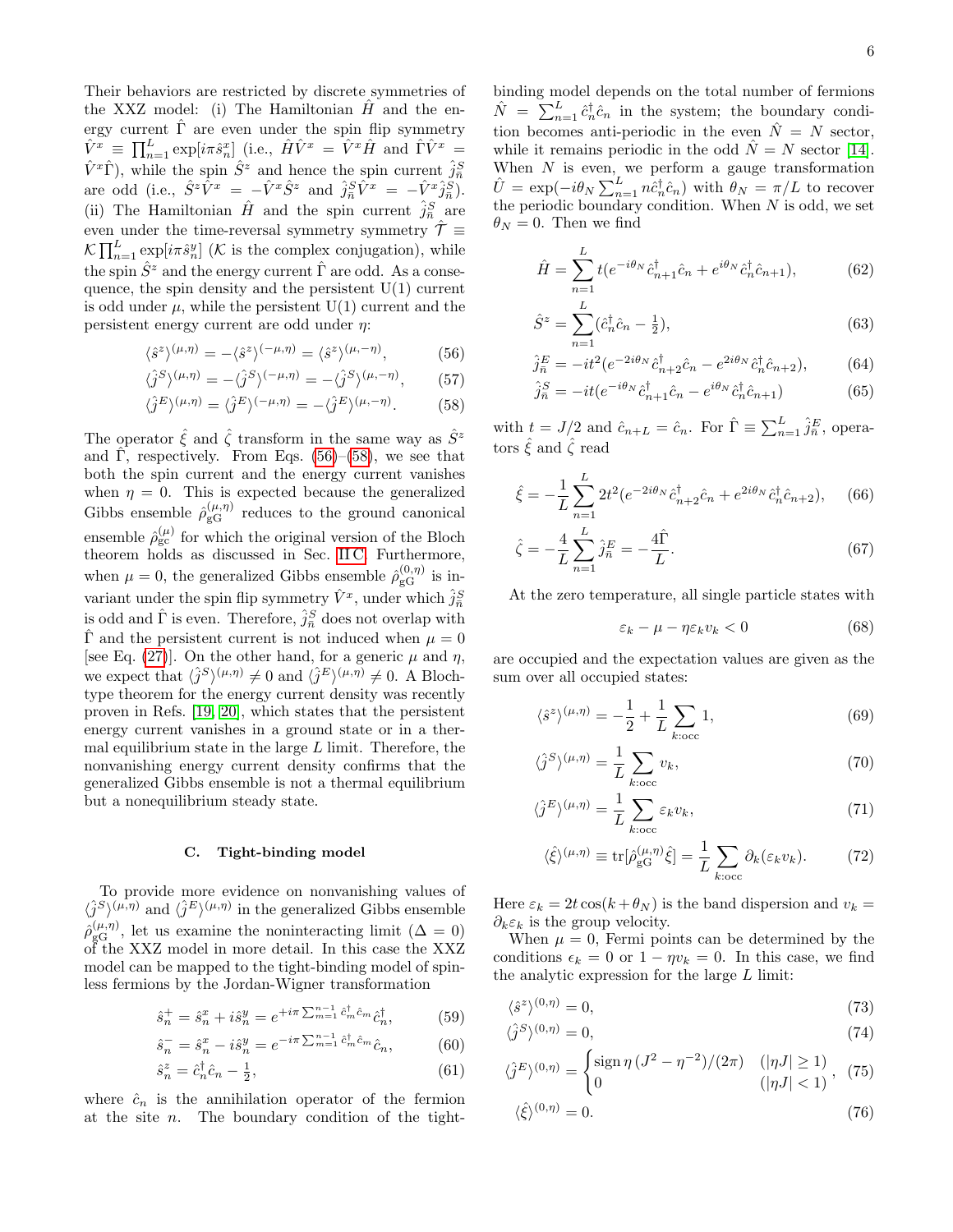Their behaviors are restricted by discrete symmetries of the XXZ model: (i) The Hamiltonian  $H$  and the energy current  $\hat{\Gamma}$  are even under the spin flip symmetry  $\hat{V}^x \equiv \prod_{n=1}^L \exp[i\pi \hat{s}_n^x]$  (i.e.,  $\hat{H}\hat{V}^x = \hat{V}^x\hat{H}$  and  $\hat{\Gamma}\hat{V}^x =$  $\hat{V}^x \hat{\Gamma}$ , while the spin  $\hat{S}^z$  and hence the spin current  $\hat{j}^S_{\bar{n}}$ are odd (i.e.,  $\hat{S}^z \hat{V}^x = -\hat{V}^x \hat{S}^z$  and  $\hat{j}^S_{\bar{n}} \hat{V}^x = -\hat{V}^x \hat{j}^S_{\bar{n}}$ ). (ii) The Hamiltonian  $\hat{H}$  and the spin current  $\hat{j}^S_{\bar{n}}$  are even under the time-reversal symmetry symmetry  $\hat{\mathcal{T}} \equiv$  $\mathcal{K}\prod_{n=1}^{L} \exp[i\pi \hat{s}_{n}^{y}]$  (*K* is the complex conjugation), while the spin  $\hat{S}^z$  and the energy current  $\hat{\Gamma}$  are odd. As a consequence, the spin density and the persistent  $U(1)$  current is odd under  $\mu$ , while the persistent U(1) current and the persistent energy current are odd under  $\eta$ :

$$
\langle \hat{s}^z \rangle^{(\mu, \eta)} = -\langle \hat{s}^z \rangle^{(-\mu, \eta)} = \langle \hat{s}^z \rangle^{(\mu, -\eta)},\tag{56}
$$

$$
\langle \hat{j}^S \rangle^{(\mu,\eta)} = -\langle \hat{j}^S \rangle^{(-\mu,\eta)} = -\langle \hat{j}^S \rangle^{(\mu,-\eta)},\tag{57}
$$

$$
\langle \hat{j}^E \rangle^{(\mu,\eta)} = \langle \hat{j}^E \rangle^{(-\mu,\eta)} = -\langle \hat{j}^E \rangle^{(\mu,-\eta)}.
$$
 (58)

The operator  $\hat{\xi}$  and  $\hat{\zeta}$  transform in the same way as  $\hat{S}^z$ and  $\hat{\Gamma}$ , respectively. From Eqs. [\(56\)](#page-5-0)–[\(58\)](#page-5-1), we see that both the spin current and the energy current vanishes when  $\eta = 0$ . This is expected because the generalized Gibbs ensemble  $\hat{\rho}_{\rm gG}^{(\mu,\eta)}$  reduces to the ground canonical ensemble  $\rho_{gc}^{(\mu)}$  for which the original version of the Bloch theorem holds as discussed in Sec. [II C.](#page-1-5) Furthermore, when  $\mu = 0$ , the generalized Gibbs ensemble  $\hat{\rho}_{\rm gG}^{(0,\eta)}$  is invariant under the spin flip symmetry  $\hat{V}^x$ , under which  $\hat{j}^S_{\bar{n}}$ is odd and  $\hat{\Gamma}$  is even. Therefore,  $\hat{j}^S_{\bar{n}}$  does not overlap with  $\Gamma$  and the persistent current is not induced when  $\mu = 0$ [see Eq. [\(27\)](#page-2-6)]. On the other hand, for a generic  $\mu$  and  $\eta$ , we expect that  $\langle \hat{j}^S \rangle^{(\mu,\eta)} \neq 0$  and  $\langle \hat{j}^E \rangle^{(\mu,\eta)} \neq 0$ . A Blochtype theorem for the energy current density was recently proven in Refs. [\[19,](#page-7-1) [20\]](#page-7-2), which states that the persistent energy current vanishes in a ground state or in a thermal equilibrium state in the large  $L$  limit. Therefore, the nonvanishing energy current density confirms that the generalized Gibbs ensemble is not a thermal equilibrium but a nonequilibrium steady state.

### C. Tight-binding model

To provide more evidence on nonvanishing values of  $\langle \hat{j}^{S} \rangle^{(\mu,\eta)}$  and  $\langle \hat{j}^{E} \rangle^{(\mu,\eta)}$  in the generalized Gibbs ensemble  $\hat{\rho}_{\rm gG}^{(\mu,\eta)}$ , let us examine the noninteracting limit  $(\Delta = 0)$ of the XXZ model in more detail. In this case the XXZ model can be mapped to the tight-binding model of spinless fermions by the Jordan-Wigner transformation

$$
\hat{s}_n^+ = \hat{s}_n^x + i\hat{s}_n^y = e^{+i\pi \sum_{m=1}^{n-1} \hat{c}_m^\dagger \hat{c}_m} \hat{c}_n^\dagger, \tag{59}
$$

$$
\hat{s}_n^- = \hat{s}_n^x - i\hat{s}_n^y = e^{-i\pi \sum_{m=1}^{n-1} \hat{c}_m^\dagger \hat{c}_m} \hat{c}_n, \tag{60}
$$

$$
\hat{s}_n^z = \hat{c}_n^\dagger \hat{c}_n - \frac{1}{2},\tag{61}
$$

where  $\hat{c}_n$  is the annihilation operator of the fermion at the site  $n$ . The boundary condition of the tightbinding model depends on the total number of fermions  $\hat{N} = \sum_{n=1}^{L} \hat{c}_{n}^{\dagger} \hat{c}_{n}$  in the system; the boundary condition becomes anti-periodic in the even  $\hat{N} = N$  sector, while it remains periodic in the odd  $\ddot{N} = N$  sector [\[14\]](#page-6-12). When  $N$  is even, we perform a gauge transformation  $\hat{U} = \exp(-i\theta_N \sum_{n=1}^L n \hat{c}_n^{\dagger} \hat{c}_n)$  with  $\theta_N = \pi/L$  to recover the periodic boundary condition. When  $N$  is odd, we set  $\theta_N = 0$ . Then we find

$$
\hat{H} = \sum_{n=1}^{L} t(e^{-i\theta_N} \hat{c}_{n+1}^{\dagger} \hat{c}_n + e^{i\theta_N} \hat{c}_n^{\dagger} \hat{c}_{n+1}),
$$
(62)

$$
\hat{S}^z = \sum_{n=1}^{L} (\hat{c}_n^{\dagger} \hat{c}_n - \frac{1}{2}),\tag{63}
$$

$$
\hat{j}_{\bar{n}}^{E} = -it^2(e^{-2i\theta_N}\hat{c}_{n+2}^{\dagger}\hat{c}_n - e^{2i\theta_N}\hat{c}_n^{\dagger}\hat{c}_{n+2}),
$$
(64)

$$
\hat{j}_n^S = -it(e^{-i\theta_N}\hat{c}_{n+1}^\dagger \hat{c}_n - e^{i\theta_N}\hat{c}_n^\dagger \hat{c}_{n+1})\tag{65}
$$

<span id="page-5-1"></span><span id="page-5-0"></span>with  $t = J/2$  and  $\hat{c}_{n+L} = \hat{c}_n$ . For  $\hat{\Gamma} \equiv \sum_{n=1}^{L} \hat{j}_{\bar{n}}^E$ , operators  $\hat{\xi}$  and  $\hat{\zeta}$  read

$$
\hat{\xi} = -\frac{1}{L} \sum_{n=1}^{L} 2t^2 (e^{-2i\theta_N} \hat{c}_{n+2}^\dagger \hat{c}_n + e^{2i\theta_N} \hat{c}_n^\dagger \hat{c}_{n+2}), \quad (66)
$$

$$
\hat{\zeta} = -\frac{4}{L} \sum_{n=1}^{L} \hat{j}_{\bar{n}}^{E} = -\frac{4\hat{\Gamma}}{L}.
$$
\n(67)

At the zero temperature, all single particle states with

$$
\varepsilon_k - \mu - \eta \varepsilon_k v_k < 0 \tag{68}
$$

are occupied and the expectation values are given as the sum over all occupied states:

$$
\langle \hat{s}^z \rangle^{(\mu,\eta)} = -\frac{1}{2} + \frac{1}{L} \sum_{k:\text{occ}} 1,\tag{69}
$$

$$
\langle \hat{j}^{S} \rangle^{(\mu,\eta)} = \frac{1}{L} \sum_{k:\text{occ}} v_k,\tag{70}
$$

$$
\langle \hat{j}^E \rangle^{(\mu,\eta)} = \frac{1}{L} \sum_{k:\text{occ}} \varepsilon_k v_k,\tag{71}
$$

$$
\langle \hat{\xi} \rangle^{(\mu,\eta)} \equiv \text{tr}[\hat{\rho}_{\text{gG}}^{(\mu,\eta)} \hat{\xi}] = \frac{1}{L} \sum_{k:\text{occ}} \partial_k(\varepsilon_k v_k). \tag{72}
$$

Here  $\varepsilon_k = 2t \cos(k + \theta_N)$  is the band dispersion and  $v_k =$  $\partial_k \varepsilon_k$  is the group velocity.

When  $\mu = 0$ , Fermi points can be determined by the conditions  $\epsilon_k = 0$  or  $1 - \eta v_k = 0$ . In this case, we find the analytic expression for the large  $L$  limit:

$$
\langle \hat{s}^z \rangle^{(0,\eta)} = 0,\tag{73}
$$

$$
\langle \hat{j}^S \rangle^{(0,\eta)} = 0,\tag{74}
$$

$$
\langle \hat{j}^E \rangle^{(0,\eta)} = \begin{cases} \text{sign}\,\eta \,(J^2 - \eta^{-2})/(2\pi) & (\vert \eta J \vert \ge 1) \\ 0 & (\vert \eta J \vert < 1) \end{cases}, \tag{75}
$$

<span id="page-5-2"></span>
$$
\langle \hat{\xi} \rangle^{(0,\eta)} = 0. \tag{76}
$$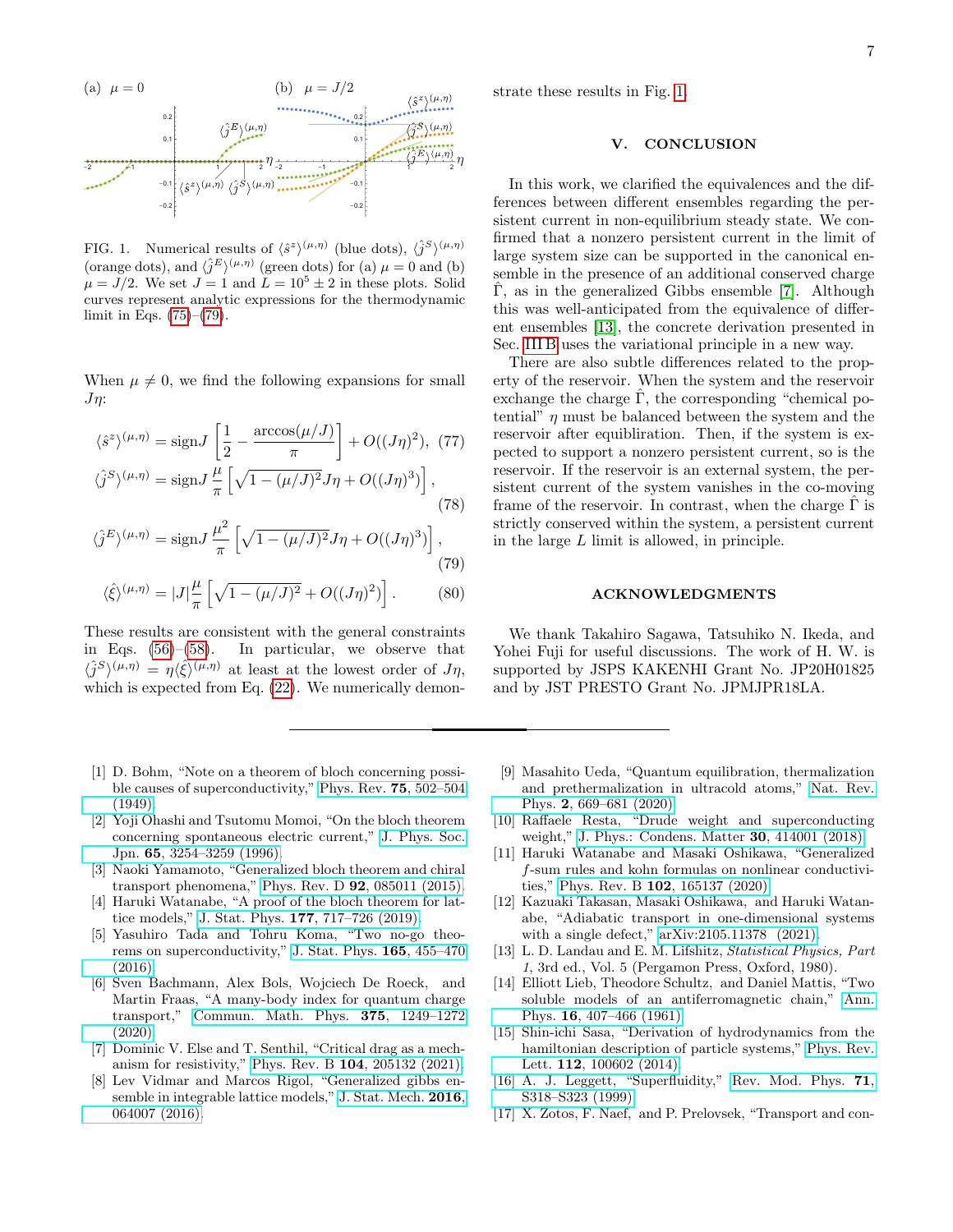

<span id="page-6-17"></span>FIG. 1. Numerical results of  $\langle \hat{s}^z \rangle^{(\mu,\eta)}$  (blue dots),  $\langle \hat{j}^S \rangle^{(\mu,\eta)}$ (orange dots), and  $\langle \hat{j}^E \rangle^{(\mu,\eta)}$  (green dots) for (a)  $\mu = 0$  and (b)  $\mu = J/2$ . We set  $J = 1$  and  $L = 10^5 \pm 2$  in these plots. Solid curves represent analytic expressions for the thermodynamic limit in Eqs. [\(75\)](#page-5-2)–[\(79\)](#page-6-16).

When  $\mu \neq 0$ , we find the following expansions for small  $J_{\eta}$ :

$$
\langle \hat{s}^z \rangle^{(\mu,\eta)} = \text{sign} J \left[ \frac{1}{2} - \frac{\arccos(\mu/J)}{\pi} \right] + O((J\eta)^2), \tag{77}
$$
  

$$
\langle \hat{i}^S \rangle^{(\mu,\eta)} = \text{sign} J \frac{\mu}{\pi} \left[ \sqrt{1 - (\mu/J)^2} J\eta + O((J\eta)^3) \right].
$$

$$
\langle \hat{j}^{S} \rangle^{(\mu,\eta)} = \text{sign} J \frac{\mu}{\pi} \left[ \sqrt{1 - (\mu/J)^2} J \eta + O((J\eta)^3) \right],\tag{78}
$$

$$
\langle \hat{j}^E \rangle^{(\mu,\eta)} = \text{sign} J \frac{\mu^2}{\pi} \left[ \sqrt{1 - (\mu/J)^2} J \eta + O((J\eta)^3) \right],\tag{79}
$$

$$
\langle \hat{\xi} \rangle^{(\mu, \eta)} = |J| \frac{\mu}{\pi} \left[ \sqrt{1 - (\mu/J)^2} + O((J\eta)^2) \right]. \tag{80}
$$

These results are consistent with the general constraints in Eqs. [\(56\)](#page-5-0)–[\(58\)](#page-5-1). In particular, we observe that  $\langle \hat{j}^S \rangle^{(\mu,\eta)} = \eta \langle \hat{\xi} \rangle^{(\mu,\eta)}$  at least at the lowest order of  $J\eta$ , which is expected from Eq.  $(22)$ . We numerically demon-

- <span id="page-6-0"></span>[1] D. Bohm, "Note on a theorem of bloch concerning possible causes of superconductivity," [Phys. Rev.](http://dx.doi.org/ 10.1103/PhysRev.75.502) 75, 502–504 [\(1949\).](http://dx.doi.org/ 10.1103/PhysRev.75.502)
- <span id="page-6-3"></span>[2] Yoji Ohashi and Tsutomu Momoi, "On the bloch theorem concerning spontaneous electric current," [J. Phys. Soc.](http://dx.doi.org/ 10.1143/JPSJ.65.3254) Jpn. 65[, 3254–3259 \(1996\).](http://dx.doi.org/ 10.1143/JPSJ.65.3254)
- [3] Naoki Yamamoto, "Generalized bloch theorem and chiral transport phenomena," Phys. Rev. D 92[, 085011 \(2015\).](http://dx.doi.org/ 10.1103/PhysRevD.92.085011)
- <span id="page-6-2"></span>[4] Haruki Watanabe, "A proof of the bloch theorem for lattice models," J. Stat. Phys. 177[, 717–726 \(2019\).](http://dx.doi.org/ 10.1007/s10955-019-02386-1)
- <span id="page-6-4"></span>[5] Yasuhiro Tada and Tohru Koma, "Two no-go theorems on superconductivity," [J. Stat. Phys.](http://dx.doi.org/ 10.1007/s10955-016-1629-2) 165, 455–470 [\(2016\).](http://dx.doi.org/ 10.1007/s10955-016-1629-2)
- <span id="page-6-1"></span>[6] Sven Bachmann, Alex Bols, Wojciech De Roeck, and Martin Fraas, "A many-body index for quantum charge transport," [Commun. Math. Phys.](http://dx.doi.org/10.1007/s00220-019-03537-x) 375, 1249–1272 [\(2020\).](http://dx.doi.org/10.1007/s00220-019-03537-x)
- <span id="page-6-5"></span>[7] Dominic V. Else and T. Senthil, "Critical drag as a mechanism for resistivity," Phys. Rev. B 104[, 205132 \(2021\).](http://dx.doi.org/ 10.1103/PhysRevB.104.205132)
- <span id="page-6-6"></span>[8] Lev Vidmar and Marcos Rigol, "Generalized gibbs ensemble in integrable lattice models," [J. Stat. Mech.](http://dx.doi.org/ 10.1088/1742-5468/2016/06/064007) 2016, [064007 \(2016\).](http://dx.doi.org/ 10.1088/1742-5468/2016/06/064007)

strate these results in Fig. [1.](#page-6-17)

## V. CONCLUSION

In this work, we clarified the equivalences and the differences between different ensembles regarding the persistent current in non-equilibrium steady state. We confirmed that a nonzero persistent current in the limit of large system size can be supported in the canonical ensemble in the presence of an additional conserved charge  $\hat{\Gamma}$ , as in the generalized Gibbs ensemble [\[7\]](#page-6-5). Although this was well-anticipated from the equivalence of different ensembles [\[13\]](#page-6-11), the concrete derivation presented in Sec. [III B](#page-3-5) uses the variational principle in a new way.

There are also subtle differences related to the property of the reservoir. When the system and the reservoir exchange the charge  $\Gamma$ , the corresponding "chemical potential"  $\eta$  must be balanced between the system and the reservoir after equibliration. Then, if the system is expected to support a nonzero persistent current, so is the reservoir. If the reservoir is an external system, the persistent current of the system vanishes in the co-moving frame of the reservoir. In contrast, when the charge  $\Gamma$  is strictly conserved within the system, a persistent current in the large L limit is allowed, in principle.

### ACKNOWLEDGMENTS

<span id="page-6-16"></span>We thank Takahiro Sagawa, Tatsuhiko N. Ikeda, and Yohei Fuji for useful discussions. The work of H. W. is supported by JSPS KAKENHI Grant No. JP20H01825 and by JST PRESTO Grant No. JPMJPR18LA.

- <span id="page-6-7"></span>[9] Masahito Ueda, "Quantum equilibration, thermalization and prethermalization in ultracold atoms," [Nat. Rev.](http://dx.doi.org/10.1038/s42254-020-0237-x) Phys. 2[, 669–681 \(2020\).](http://dx.doi.org/10.1038/s42254-020-0237-x)
- <span id="page-6-8"></span>[10] Raffaele Resta, "Drude weight and superconducting weight," [J. Phys.: Condens. Matter](http://dx.doi.org/ 10.1088/1361-648x/aade19) 30, 414001 (2018).
- <span id="page-6-9"></span>[11] Haruki Watanabe and Masaki Oshikawa, "Generalized f-sum rules and kohn formulas on nonlinear conductivities," Phys. Rev. B 102[, 165137 \(2020\).](http://dx.doi.org/10.1103/PhysRevB.102.165137)
- <span id="page-6-10"></span>[12] Kazuaki Takasan, Masaki Oshikawa, and Haruki Watanabe, "Adiabatic transport in one-dimensional systems with a single defect,"  $arXiv:2105.11378$  (2021).
- <span id="page-6-11"></span>[13] L. D. Landau and E. M. Lifshitz, Statistical Physics, Part 1, 3rd ed., Vol. 5 (Pergamon Press, Oxford, 1980).
- <span id="page-6-12"></span>[14] Elliott Lieb, Theodore Schultz, and Daniel Mattis, "Two soluble models of an antiferromagnetic chain," [Ann.](http://dx.doi.org/ https://doi.org/10.1016/0003-4916(61)90115-4) Phys. 16[, 407–466 \(1961\).](http://dx.doi.org/ https://doi.org/10.1016/0003-4916(61)90115-4)
- <span id="page-6-13"></span>[15] Shin-ichi Sasa, "Derivation of hydrodynamics from the hamiltonian description of particle systems," [Phys. Rev.](http://dx.doi.org/10.1103/PhysRevLett.112.100602) Lett. **112**[, 100602 \(2014\).](http://dx.doi.org/10.1103/PhysRevLett.112.100602)
- <span id="page-6-14"></span>[16] A. J. Leggett, "Superfluidity," [Rev. Mod. Phys.](http://dx.doi.org/10.1103/RevModPhys.71.S318) 71, [S318–S323 \(1999\).](http://dx.doi.org/10.1103/RevModPhys.71.S318)
- <span id="page-6-15"></span>[17] X. Zotos, F. Naef, and P. Prelovsek, "Transport and con-